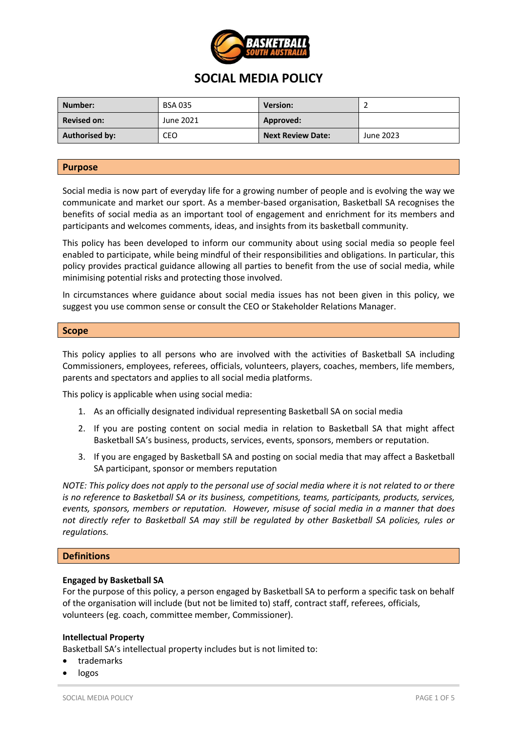

# **SOCIAL MEDIA POLICY**

| Number:               | <b>BSA 035</b> | <b>Version:</b>          |           |
|-----------------------|----------------|--------------------------|-----------|
| <b>Revised on:</b>    | June 2021      | Approved:                |           |
| <b>Authorised by:</b> | CEO            | <b>Next Review Date:</b> | June 2023 |

# **Purpose**

Social media is now part of everyday life for a growing number of people and is evolving the way we communicate and market our sport. As a member-based organisation, Basketball SA recognises the benefits of social media as an important tool of engagement and enrichment for its members and participants and welcomes comments, ideas, and insights from its basketball community.

This policy has been developed to inform our community about using social media so people feel enabled to participate, while being mindful of their responsibilities and obligations. In particular, this policy provides practical guidance allowing all parties to benefit from the use of social media, while minimising potential risks and protecting those involved.

In circumstances where guidance about social media issues has not been given in this policy, we suggest you use common sense or consult the CEO or Stakeholder Relations Manager.

#### **Scope**

This policy applies to all persons who are involved with the activities of Basketball SA including Commissioners, employees, referees, officials, volunteers, players, coaches, members, life members, parents and spectators and applies to all social media platforms.

This policy is applicable when using social media:

- 1. As an officially designated individual representing Basketball SA on social media
- 2. If you are posting content on social media in relation to Basketball SA that might affect Basketball SA's business, products, services, events, sponsors, members or reputation.
- 3. If you are engaged by Basketball SA and posting on social media that may affect a Basketball SA participant, sponsor or members reputation

*NOTE: This policy does not apply to the personal use of social media where it is not related to or there is no reference to Basketball SA or its business, competitions, teams, participants, products, services, events, sponsors, members or reputation. However, misuse of social media in a manner that does not directly refer to Basketball SA may still be regulated by other Basketball SA policies, rules or regulations.* 

#### **Definitions**

#### **Engaged by Basketball SA**

For the purpose of this policy, a person engaged by Basketball SA to perform a specific task on behalf of the organisation will include (but not be limited to) staff, contract staff, referees, officials, volunteers (eg. coach, committee member, Commissioner).

#### **Intellectual Property**

Basketball SA's intellectual property includes but is not limited to:

- trademarks
- logos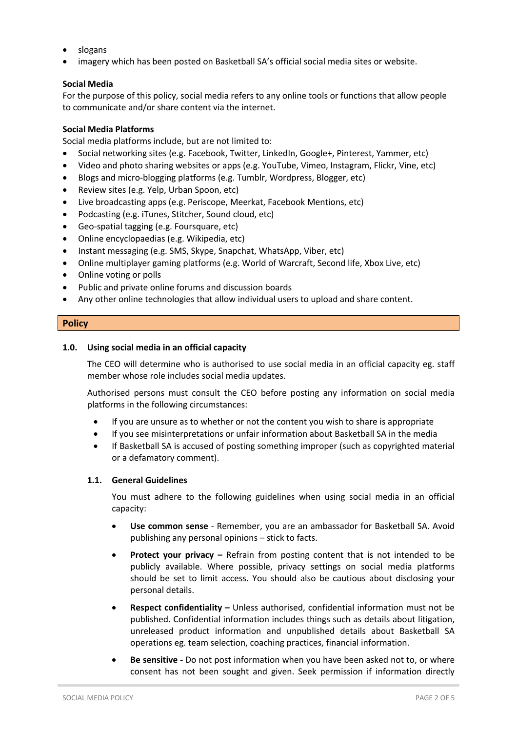- slogans
- imagery which has been posted on Basketball SA's official social media sites or website.

# **Social Media**

For the purpose of this policy, social media refers to any online tools or functions that allow people to communicate and/or share content via the internet.

# **Social Media Platforms**

Social media platforms include, but are not limited to:

- Social networking sites (e.g. Facebook, Twitter, LinkedIn, Google+, Pinterest, Yammer, etc)
- Video and photo sharing websites or apps (e.g. YouTube, Vimeo, Instagram, Flickr, Vine, etc)
- Blogs and micro-blogging platforms (e.g. Tumblr, Wordpress, Blogger, etc)
- Review sites (e.g. Yelp, Urban Spoon, etc)
- Live broadcasting apps (e.g. Periscope, Meerkat, Facebook Mentions, etc)
- Podcasting (e.g. iTunes, Stitcher, Sound cloud, etc)
- Geo-spatial tagging (e.g. Foursquare, etc)
- Online encyclopaedias (e.g. Wikipedia, etc)
- Instant messaging (e.g. SMS, Skype, Snapchat, WhatsApp, Viber, etc)
- Online multiplayer gaming platforms (e.g. World of Warcraft, Second life, Xbox Live, etc)
- Online voting or polls
- Public and private online forums and discussion boards
- Any other online technologies that allow individual users to upload and share content.

# **Policy**

# **1.0. Using social media in an official capacity**

The CEO will determine who is authorised to use social media in an official capacity eg. staff member whose role includes social media updates.

Authorised persons must consult the CEO before posting any information on social media platforms in the following circumstances:

- If you are unsure as to whether or not the content you wish to share is appropriate
- If you see misinterpretations or unfair information about Basketball SA in the media
- If Basketball SA is accused of posting something improper (such as copyrighted material or a defamatory comment).

# **1.1. General Guidelines**

You must adhere to the following guidelines when using social media in an official capacity:

- **Use common sense** Remember, you are an ambassador for Basketball SA. Avoid publishing any personal opinions – stick to facts.
- **Protect your privacy –** Refrain from posting content that is not intended to be publicly available. Where possible, privacy settings on social media platforms should be set to limit access. You should also be cautious about disclosing your personal details.
- **Respect confidentiality –** Unless authorised, confidential information must not be published. Confidential information includes things such as details about litigation, unreleased product information and unpublished details about Basketball SA operations eg. team selection, coaching practices, financial information.
- **Be sensitive -** Do not post information when you have been asked not to, or where consent has not been sought and given. Seek permission if information directly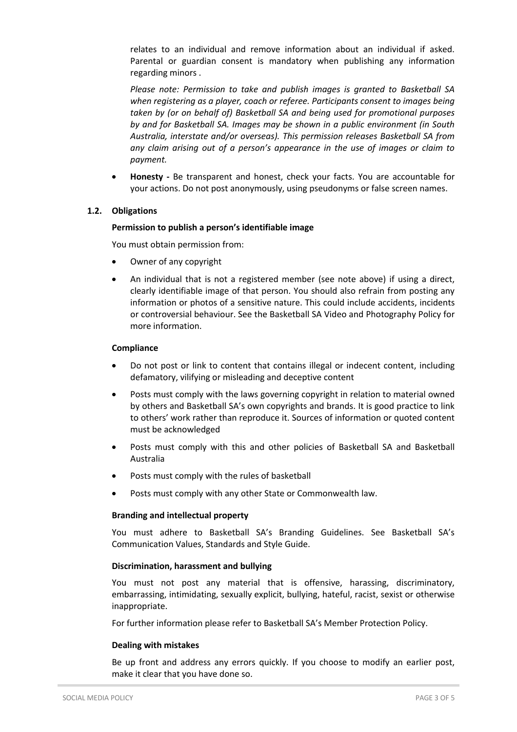relates to an individual and remove information about an individual if asked. Parental or guardian consent is mandatory when publishing any information regarding minors .

*Please note: Permission to take and publish images is granted to Basketball SA when registering as a player, coach or referee. Participants consent to images being taken by (or on behalf of) Basketball SA and being used for promotional purposes by and for Basketball SA. Images may be shown in a public environment (in South Australia, interstate and/or overseas). This permission releases Basketball SA from any claim arising out of a person's appearance in the use of images or claim to payment.*

• **Honesty -** Be transparent and honest, check your facts. You are accountable for your actions. Do not post anonymously, using pseudonyms or false screen names.

# **1.2. Obligations**

# **Permission to publish a person's identifiable image**

You must obtain permission from:

- Owner of any copyright
- An individual that is not a registered member (see note above) if using a direct, clearly identifiable image of that person. You should also refrain from posting any information or photos of a sensitive nature. This could include accidents, incidents or controversial behaviour. See the Basketball SA Video and Photography Policy for more information.

#### **Compliance**

- Do not post or link to content that contains illegal or indecent content, including defamatory, vilifying or misleading and deceptive content
- Posts must comply with the laws governing copyright in relation to material owned by others and Basketball SA's own copyrights and brands. It is good practice to link to others' work rather than reproduce it. Sources of information or quoted content must be acknowledged
- Posts must comply with this and other policies of Basketball SA and Basketball Australia
- Posts must comply with the rules of basketball
- Posts must comply with any other State or Commonwealth law.

# **Branding and intellectual property**

You must adhere to Basketball SA's Branding Guidelines. See Basketball SA's Communication Values, Standards and Style Guide.

# **Discrimination, harassment and bullying**

You must not post any material that is offensive, harassing, discriminatory, embarrassing, intimidating, sexually explicit, bullying, hateful, racist, sexist or otherwise inappropriate.

For further information please refer to Basketball SA's Member Protection Policy.

#### **Dealing with mistakes**

Be up front and address any errors quickly. If you choose to modify an earlier post, make it clear that you have done so.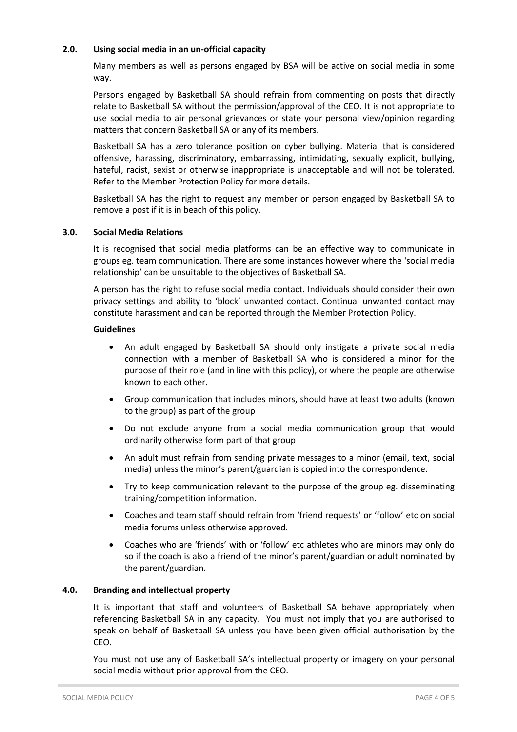# **2.0. Using social media in an un-official capacity**

Many members as well as persons engaged by BSA will be active on social media in some way.

Persons engaged by Basketball SA should refrain from commenting on posts that directly relate to Basketball SA without the permission/approval of the CEO. It is not appropriate to use social media to air personal grievances or state your personal view/opinion regarding matters that concern Basketball SA or any of its members.

Basketball SA has a zero tolerance position on cyber bullying. Material that is considered offensive, harassing, discriminatory, embarrassing, intimidating, sexually explicit, bullying, hateful, racist, sexist or otherwise inappropriate is unacceptable and will not be tolerated. Refer to the Member Protection Policy for more details.

Basketball SA has the right to request any member or person engaged by Basketball SA to remove a post if it is in beach of this policy.

# **3.0. Social Media Relations**

It is recognised that social media platforms can be an effective way to communicate in groups eg. team communication. There are some instances however where the 'social media relationship' can be unsuitable to the objectives of Basketball SA.

A person has the right to refuse social media contact. Individuals should consider their own privacy settings and ability to 'block' unwanted contact. Continual unwanted contact may constitute harassment and can be reported through the Member Protection Policy.

# **Guidelines**

- An adult engaged by Basketball SA should only instigate a private social media connection with a member of Basketball SA who is considered a minor for the purpose of their role (and in line with this policy), or where the people are otherwise known to each other.
- Group communication that includes minors, should have at least two adults (known to the group) as part of the group
- Do not exclude anyone from a social media communication group that would ordinarily otherwise form part of that group
- An adult must refrain from sending private messages to a minor (email, text, social media) unless the minor's parent/guardian is copied into the correspondence.
- Try to keep communication relevant to the purpose of the group eg. disseminating training/competition information.
- Coaches and team staff should refrain from 'friend requests' or 'follow' etc on social media forums unless otherwise approved.
- Coaches who are 'friends' with or 'follow' etc athletes who are minors may only do so if the coach is also a friend of the minor's parent/guardian or adult nominated by the parent/guardian.

# **4.0. Branding and intellectual property**

It is important that staff and volunteers of Basketball SA behave appropriately when referencing Basketball SA in any capacity. You must not imply that you are authorised to speak on behalf of Basketball SA unless you have been given official authorisation by the CEO.

You must not use any of Basketball SA's intellectual property or imagery on your personal social media without prior approval from the CEO.